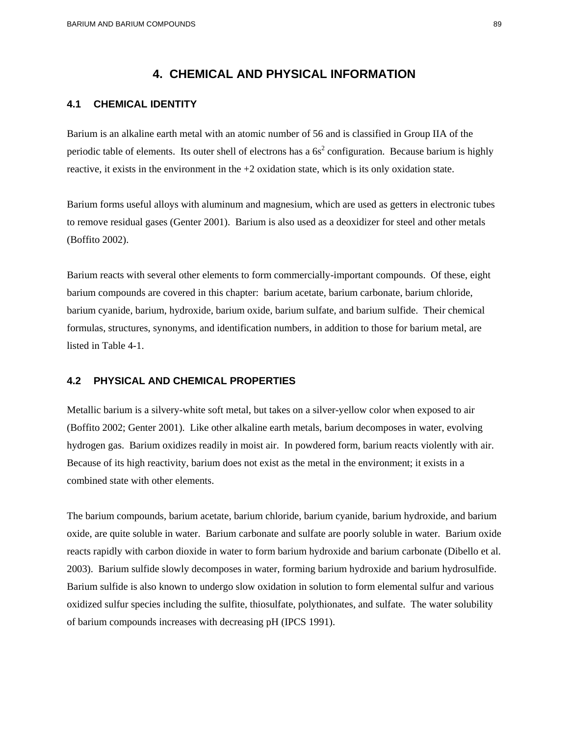## **4. CHEMICAL AND PHYSICAL INFORMATION**

### **4.1 CHEMICAL IDENTITY**

Barium is an alkaline earth metal with an atomic number of 56 and is classified in Group IIA of the periodic table of elements. Its outer shell of electrons has a  $6s<sup>2</sup>$  configuration. Because barium is highly reactive, it exists in the environment in the  $+2$  oxidation state, which is its only oxidation state.

Barium forms useful alloys with aluminum and magnesium, which are used as getters in electronic tubes to remove residual gases (Genter 2001). Barium is also used as a deoxidizer for steel and other metals (Boffito 2002).

Barium reacts with several other elements to form commercially-important compounds. Of these, eight barium compounds are covered in this chapter: barium acetate, barium carbonate, barium chloride, barium cyanide, barium, hydroxide, barium oxide, barium sulfate, and barium sulfide. Their chemical formulas, structures, synonyms, and identification numbers, in addition to those for barium metal, are listed in Table 4-1.

#### **4.2 PHYSICAL AND CHEMICAL PROPERTIES**

Metallic barium is a silvery-white soft metal, but takes on a silver-yellow color when exposed to air (Boffito 2002; Genter 2001). Like other alkaline earth metals, barium decomposes in water, evolving hydrogen gas. Barium oxidizes readily in moist air. In powdered form, barium reacts violently with air. Because of its high reactivity, barium does not exist as the metal in the environment; it exists in a combined state with other elements.

The barium compounds, barium acetate, barium chloride, barium cyanide, barium hydroxide, and barium oxide, are quite soluble in water. Barium carbonate and sulfate are poorly soluble in water. Barium oxide reacts rapidly with carbon dioxide in water to form barium hydroxide and barium carbonate (Dibello et al. 2003). Barium sulfide slowly decomposes in water, forming barium hydroxide and barium hydrosulfide. Barium sulfide is also known to undergo slow oxidation in solution to form elemental sulfur and various oxidized sulfur species including the sulfite, thiosulfate, polythionates, and sulfate. The water solubility of barium compounds increases with decreasing pH (IPCS 1991).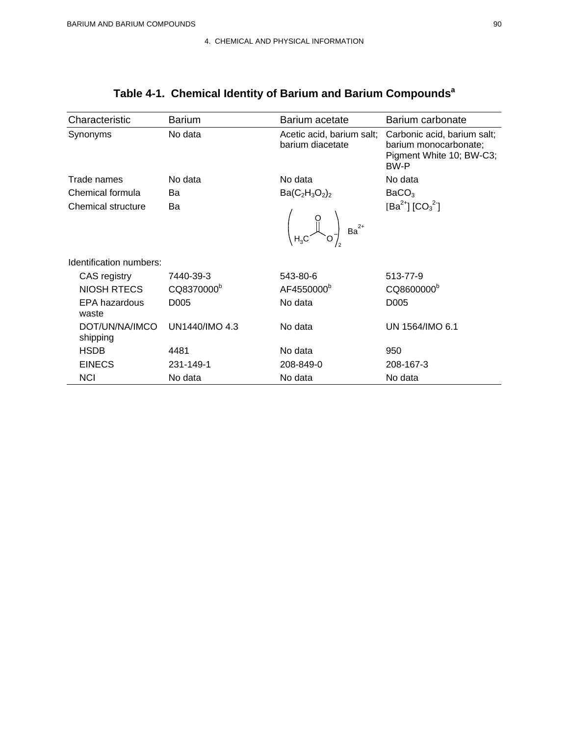| Characteristic             | <b>Barium</b>          | Barium acetate                                | Barium carbonate                                                                         |
|----------------------------|------------------------|-----------------------------------------------|------------------------------------------------------------------------------------------|
| Synonyms                   | No data                | Acetic acid, barium salt;<br>barium diacetate | Carbonic acid, barium salt;<br>barium monocarbonate;<br>Pigment White 10; BW-C3;<br>BW-P |
| Trade names                | No data                | No data                                       | No data                                                                                  |
| Chemical formula           | Ba                     | $Ba(C_2H_3O_2)_2$                             | BaCO <sub>3</sub>                                                                        |
| Chemical structure         | Ba                     | $2+$<br>Ba <sup>1</sup><br>H <sub>3</sub> C   | [Ba <sup>2+</sup> ] [CO <sub>3</sub> <sup>2-</sup> ]                                     |
| Identification numbers:    |                        |                                               |                                                                                          |
| CAS registry               | 7440-39-3              | 543-80-6                                      | 513-77-9                                                                                 |
| <b>NIOSH RTECS</b>         | CQ8370000 <sup>b</sup> | AF4550000 <sup>b</sup>                        | CQ8600000 <sup>b</sup>                                                                   |
| EPA hazardous<br>waste     | D <sub>005</sub>       | No data                                       | D005                                                                                     |
| DOT/UN/NA/IMCO<br>shipping | UN1440/IMO 4.3         | No data                                       | UN 1564/IMO 6.1                                                                          |
| <b>HSDB</b>                | 4481                   | No data                                       | 950                                                                                      |
| <b>EINECS</b>              | 231-149-1              | 208-849-0                                     | 208-167-3                                                                                |
| <b>NCI</b>                 | No data                | No data                                       | No data                                                                                  |

# **Table 4-1. Chemical Identity of Barium and Barium Compoundsa**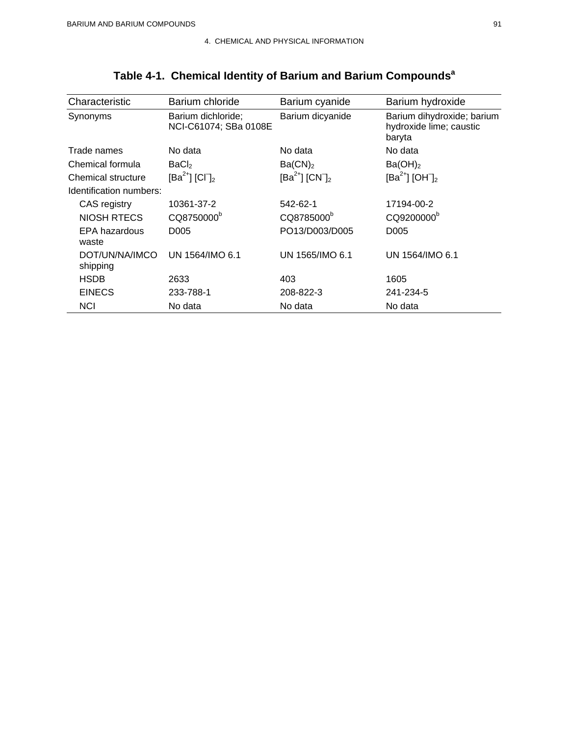| Characteristic             | Barium chloride                             | Barium cyanide                  | Barium hydroxide                                                |
|----------------------------|---------------------------------------------|---------------------------------|-----------------------------------------------------------------|
| Synonyms                   | Barium dichloride;<br>NCI-C61074; SBa 0108E | Barium dicyanide                | Barium dihydroxide; barium<br>hydroxide lime; caustic<br>baryta |
| Trade names                | No data                                     | No data                         | No data                                                         |
| Chemical formula           | BaCl <sub>2</sub>                           | Ba(CN) <sub>2</sub>             | Ba(OH) <sub>2</sub>                                             |
| Chemical structure         | $[Ba^{2+}] [CI]_2$                          | $[Ba^{2+}]$ $[CN]$ <sub>2</sub> | $[Ba^{2+}] [OH]_2$                                              |
| Identification numbers:    |                                             |                                 |                                                                 |
| CAS registry               | 10361-37-2                                  | 542-62-1                        | 17194-00-2                                                      |
| <b>NIOSH RTECS</b>         | CQ8750000 <sup>b</sup>                      | CQ8785000 <sup>b</sup>          | CQ9200000 <sup>b</sup>                                          |
| EPA hazardous<br>waste     | D005                                        | PO13/D003/D005                  | D <sub>005</sub>                                                |
| DOT/UN/NA/IMCO<br>shipping | UN 1564/IMO 6.1                             | UN 1565/IMO 6.1                 | UN 1564/IMO 6.1                                                 |
| <b>HSDB</b>                | 2633                                        | 403                             | 1605                                                            |
| <b>EINECS</b>              | 233-788-1                                   | 208-822-3                       | 241-234-5                                                       |
| <b>NCI</b>                 | No data                                     | No data                         | No data                                                         |

# **Table 4-1. Chemical Identity of Barium and Barium Compoundsa**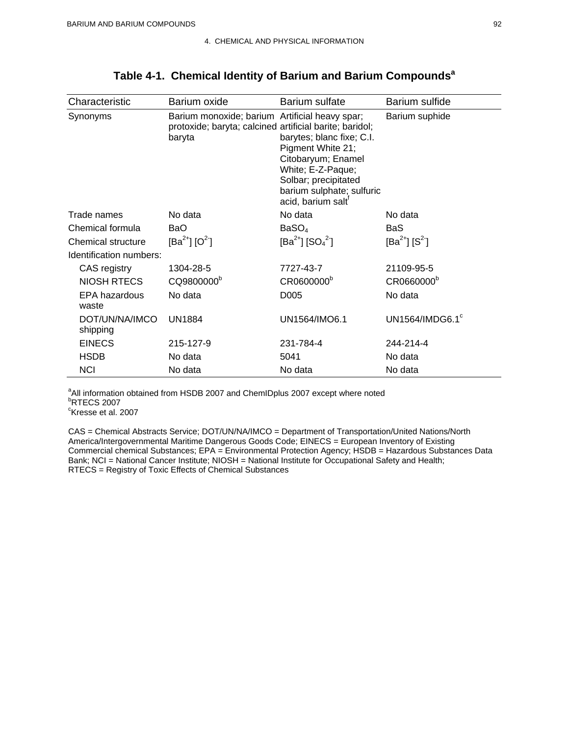| Characteristic             | Barium oxide                                                                                                        | Barium sulfate                                                                                                                                                                   | Barium sulfide               |
|----------------------------|---------------------------------------------------------------------------------------------------------------------|----------------------------------------------------------------------------------------------------------------------------------------------------------------------------------|------------------------------|
| Synonyms                   | Barium monoxide; barium Artificial heavy spar;<br>protoxide; baryta; calcined artificial barite; baridol;<br>baryta | barytes; blanc fixe; C.I.<br>Pigment White 21;<br>Citobaryum; Enamel<br>White; E-Z-Paque;<br>Solbar; precipitated<br>barium sulphate; sulfuric<br>acid, barium salt <sup>t</sup> | Barium suphide               |
| Trade names                | No data                                                                                                             | No data                                                                                                                                                                          | No data                      |
| Chemical formula           | <b>BaO</b>                                                                                                          | BaSO <sub>4</sub>                                                                                                                                                                | BaS                          |
| Chemical structure         | $[Ba^{2+}] [O^{2-}]$                                                                                                | [Ba <sup>2+</sup> ] [SO <sub>4</sub> <sup>2</sup> ]                                                                                                                              | $[Ba^{2+}] [S^2]$            |
| Identification numbers:    |                                                                                                                     |                                                                                                                                                                                  |                              |
| CAS registry               | 1304-28-5                                                                                                           | 7727-43-7                                                                                                                                                                        | 21109-95-5                   |
| <b>NIOSH RTECS</b>         | CQ9800000 <sup>b</sup>                                                                                              | CR0600000 <sup>b</sup>                                                                                                                                                           | CR0660000 <sup>b</sup>       |
| EPA hazardous<br>waste     | No data                                                                                                             | D <sub>005</sub>                                                                                                                                                                 | No data                      |
| DOT/UN/NA/IMCO<br>shipping | <b>UN1884</b>                                                                                                       | UN1564/IMO6.1                                                                                                                                                                    | UN1564/IMDG6.1 $\textdegree$ |
| <b>EINECS</b>              | 215-127-9                                                                                                           | 231-784-4                                                                                                                                                                        | 244-214-4                    |
| <b>HSDB</b>                | No data                                                                                                             | 5041                                                                                                                                                                             | No data                      |
| <b>NCI</b>                 | No data                                                                                                             | No data                                                                                                                                                                          | No data                      |

## **Table 4-1. Chemical Identity of Barium and Barium Compoundsa**

<sup>a</sup>All information obtained from HSDB 2007 and ChemIDplus 2007 except where noted<br>bpTECS 2007 <sup>b</sup>RTECS 2007 <sup>c</sup>Kresse et al. 2007

CAS = Chemical Abstracts Service; DOT/UN/NA/IMCO = Department of Transportation/United Nations/North America/Intergovernmental Maritime Dangerous Goods Code; EINECS = European Inventory of Existing Commercial chemical Substances; EPA = Environmental Protection Agency; HSDB = Hazardous Substances Data Bank; NCI = National Cancer Institute; NIOSH = National Institute for Occupational Safety and Health; RTECS = Registry of Toxic Effects of Chemical Substances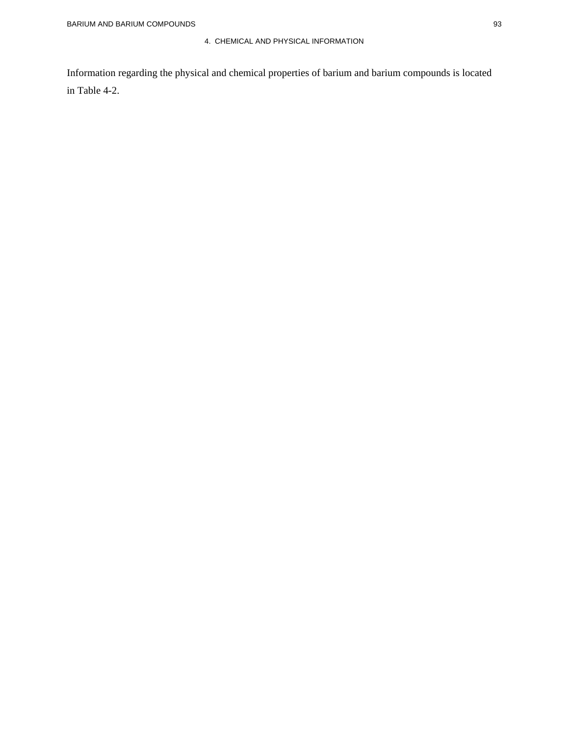#### 4. CHEMICAL AND PHYSICAL INFORMATION

Information regarding the physical and chemical properties of barium and barium compounds is located in Table 4-2.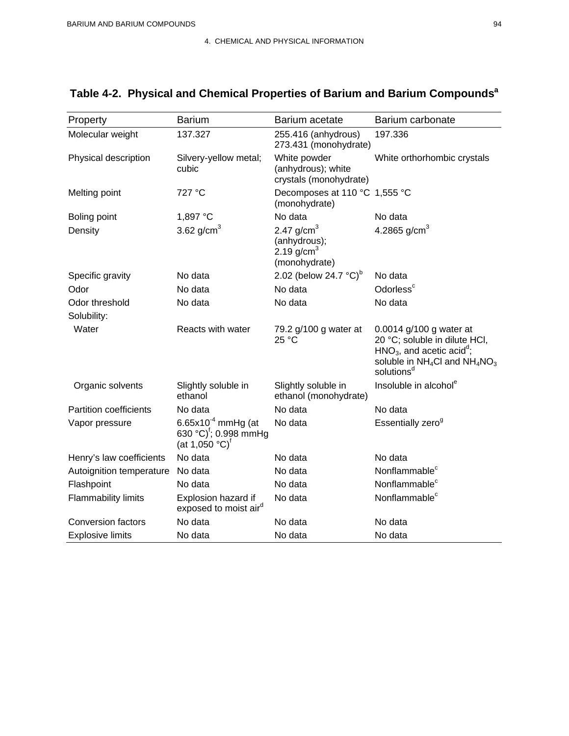| Property                      | <b>Barium</b>                                                                                        | Barium acetate                                                          | Barium carbonate                                                                                                                                                    |
|-------------------------------|------------------------------------------------------------------------------------------------------|-------------------------------------------------------------------------|---------------------------------------------------------------------------------------------------------------------------------------------------------------------|
| Molecular weight              | 137.327                                                                                              | 255.416 (anhydrous)<br>273.431 (monohydrate)                            | 197.336                                                                                                                                                             |
| Physical description          | Silvery-yellow metal;<br>cubic                                                                       | White powder<br>(anhydrous); white<br>crystals (monohydrate)            | White orthorhombic crystals                                                                                                                                         |
| Melting point                 | 727 °C                                                                                               | Decomposes at 110 °C 1,555 °C<br>(monohydrate)                          |                                                                                                                                                                     |
| Boling point                  | 1,897 °C                                                                                             | No data                                                                 | No data                                                                                                                                                             |
| Density                       | 3.62 g/cm <sup>3</sup>                                                                               | 2.47 $q/cm3$<br>(anhydrous);<br>2.19 g/cm <sup>3</sup><br>(monohydrate) | 4.2865 g/cm <sup>3</sup>                                                                                                                                            |
| Specific gravity              | No data                                                                                              | 2.02 (below 24.7 $^{\circ}$ C) <sup>b</sup>                             | No data                                                                                                                                                             |
| Odor                          | No data                                                                                              | No data                                                                 | Odorless <sup>c</sup>                                                                                                                                               |
| Odor threshold                | No data                                                                                              | No data                                                                 | No data                                                                                                                                                             |
| Solubility:                   |                                                                                                      |                                                                         |                                                                                                                                                                     |
| Water                         | Reacts with water                                                                                    | 79.2 g/100 g water at<br>25 °C                                          | 0.0014 g/100 g water at<br>20 °C; soluble in dilute HCI,<br>$HNO3$ , and acetic acid <sup>d</sup> ;<br>soluble in $NH_4Cl$ and $NH_4NO_3$<br>solutions <sup>d</sup> |
| Organic solvents              | Slightly soluble in<br>ethanol                                                                       | Slightly soluble in<br>ethanol (monohydrate)                            | Insoluble in alcohol <sup>e</sup>                                                                                                                                   |
| <b>Partition coefficients</b> | No data                                                                                              | No data                                                                 | No data                                                                                                                                                             |
| Vapor pressure                | 6.65x10 $^{4}$ mmHg (at<br>630 °C) <sup>f</sup> ; 0.998 mmHg<br>(at 1,050 $^{\circ}$ C) <sup>f</sup> | No data                                                                 | Essentially zero <sup>9</sup>                                                                                                                                       |
| Henry's law coefficients      | No data                                                                                              | No data                                                                 | No data                                                                                                                                                             |
| Autoignition temperature      | No data                                                                                              | No data                                                                 | Nonflammable <sup>c</sup>                                                                                                                                           |
| Flashpoint                    | No data                                                                                              | No data                                                                 | Nonflammable <sup>c</sup>                                                                                                                                           |
| Flammability limits           | Explosion hazard if<br>exposed to moist air <sup>d</sup>                                             | No data                                                                 | Nonflammable <sup>c</sup>                                                                                                                                           |
| <b>Conversion factors</b>     | No data                                                                                              | No data                                                                 | No data                                                                                                                                                             |
| <b>Explosive limits</b>       | No data                                                                                              | No data                                                                 | No data                                                                                                                                                             |

# Table 4-2. Physical and Chemical Properties of Barium and Barium Compounds<sup>a</sup>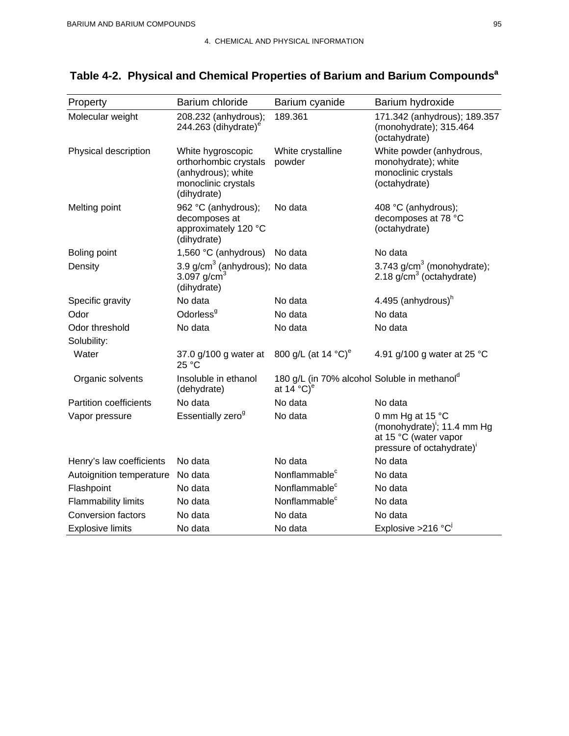| Property                      | Barium chloride                                                                                        | Barium cyanide                                                                               | Barium hydroxide                                                                                                  |
|-------------------------------|--------------------------------------------------------------------------------------------------------|----------------------------------------------------------------------------------------------|-------------------------------------------------------------------------------------------------------------------|
| Molecular weight              | 208.232 (anhydrous);<br>244.263 (dihydrate) $^{\circ}$                                                 | 189.361                                                                                      | 171.342 (anhydrous); 189.357<br>(monohydrate); 315.464<br>(octahydrate)                                           |
| Physical description          | White hygroscopic<br>orthorhombic crystals<br>(anhydrous); white<br>monoclinic crystals<br>(dihydrate) | White crystalline<br>powder                                                                  | White powder (anhydrous,<br>monohydrate); white<br>monoclinic crystals<br>(octahydrate)                           |
| Melting point                 | 962 °C (anhydrous);<br>decomposes at<br>approximately 120 °C<br>(dihydrate)                            | No data                                                                                      | 408 °C (anhydrous);<br>decomposes at 78 °C<br>(octahydrate)                                                       |
| <b>Boling point</b>           | 1,560 °C (anhydrous) No data                                                                           |                                                                                              | No data                                                                                                           |
| Density                       | 3.9 g/cm <sup>3</sup> (anhydrous); No data<br>3.097 $q/cm^{3}$<br>(dihydrate)                          |                                                                                              | 3.743 $g/cm3$ (monohydrate);<br>2.18 $g/cm3$ (octahydrate)                                                        |
| Specific gravity              | No data                                                                                                | No data                                                                                      | 4.495 (anhydrous) <sup>h</sup>                                                                                    |
| Odor                          | Odorless <sup>9</sup>                                                                                  | No data                                                                                      | No data                                                                                                           |
| Odor threshold                | No data                                                                                                | No data                                                                                      | No data                                                                                                           |
| Solubility:                   |                                                                                                        |                                                                                              |                                                                                                                   |
| Water                         | 37.0 g/100 g water at<br>25 °C                                                                         | 800 g/L (at 14 °C) <sup>e</sup>                                                              | 4.91 g/100 g water at 25 °C                                                                                       |
| Organic solvents              | Insoluble in ethanol<br>(dehydrate)                                                                    | 180 g/L (in 70% alcohol Soluble in methanol <sup>d</sup><br>at 14 $^{\circ}$ C) <sup>e</sup> |                                                                                                                   |
| <b>Partition coefficients</b> | No data                                                                                                | No data                                                                                      | No data                                                                                                           |
| Vapor pressure                | Essentially zero <sup>g</sup>                                                                          | No data                                                                                      | 0 mm Hg at 15 °C<br>(monohydrate) <sup>1</sup> ; 11.4 mm Hg<br>at 15 °C (water vapor<br>pressure of octahydrate)' |
| Henry's law coefficients      | No data                                                                                                | No data                                                                                      | No data                                                                                                           |
| Autoignition temperature      | No data                                                                                                | Nonflammable <sup>c</sup>                                                                    | No data                                                                                                           |
| Flashpoint                    | No data                                                                                                | Nonflammable <sup>c</sup>                                                                    | No data                                                                                                           |
| <b>Flammability limits</b>    | No data                                                                                                | Nonflammable <sup>c</sup>                                                                    | No data                                                                                                           |
| <b>Conversion factors</b>     | No data                                                                                                | No data                                                                                      | No data                                                                                                           |
| <b>Explosive limits</b>       | No data                                                                                                | No data                                                                                      | Explosive > 216 $^{\circ}$ C <sup>i</sup>                                                                         |

# Table 4-2. Physical and Chemical Properties of Barium and Barium Compounds<sup>a</sup>